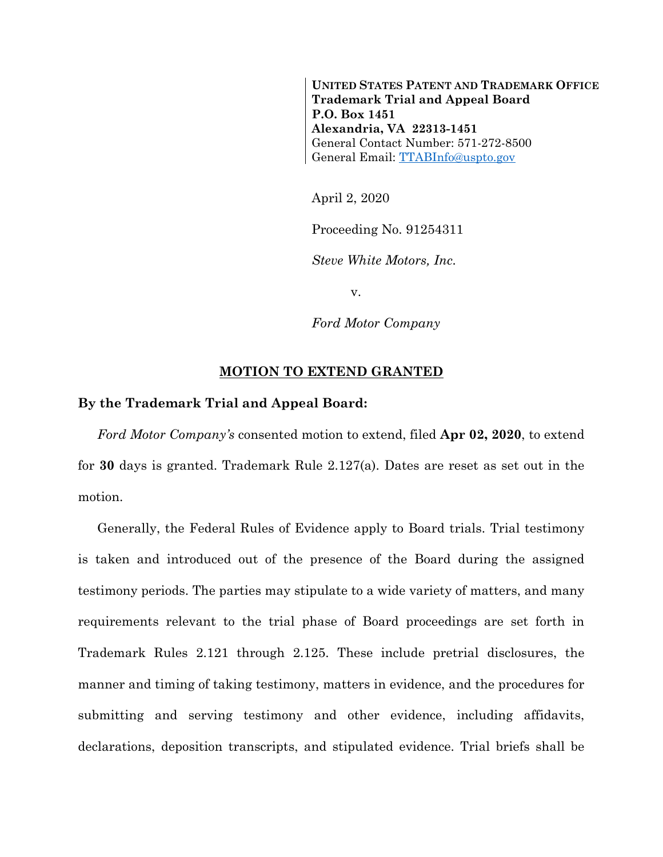**UNITED STATES PATENT AND TRADEMARK OFFICE Trademark Trial and Appeal Board P.O. Box 1451 Alexandria, VA 22313-1451** General Contact Number: 571-272-8500 General Email: [TTABInfo@uspto.gov](mailto:TTABInfo@uspto.gov)

April 2, 2020

Proceeding No. 91254311

*Steve White Motors, Inc.*

v.

*Ford Motor Company*

## **MOTION TO EXTEND GRANTED**

## **By the Trademark Trial and Appeal Board:**

*Ford Motor Company's* consented motion to extend, filed **Apr 02, 2020**, to extend for **30** days is granted. Trademark Rule 2.127(a). Dates are reset as set out in the motion.

Generally, the Federal Rules of Evidence apply to Board trials. Trial testimony is taken and introduced out of the presence of the Board during the assigned testimony periods. The parties may stipulate to a wide variety of matters, and many requirements relevant to the trial phase of Board proceedings are set forth in Trademark Rules 2.121 through 2.125. These include pretrial disclosures, the manner and timing of taking testimony, matters in evidence, and the procedures for submitting and serving testimony and other evidence, including affidavits, declarations, deposition transcripts, and stipulated evidence. Trial briefs shall be